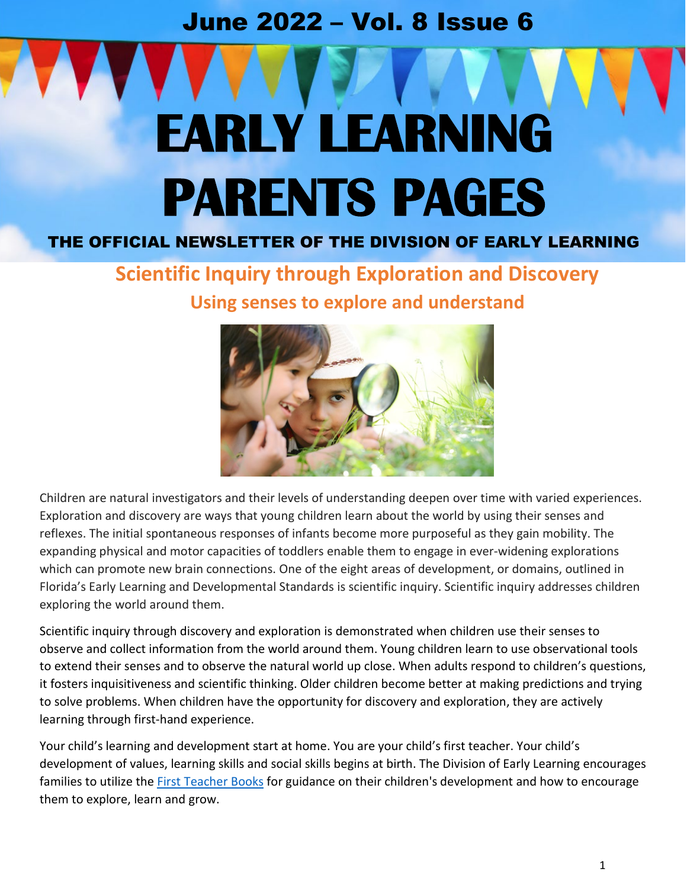## June 2022 – Vol. 8 Issue 6

# **EARLY LEARNING PARENTS PAGES**

## THE OFFICIAL NEWSLETTER OF THE DIVISION OF EARLY LEARNING

## **Scientific Inquiry through Exploration and Discovery Using senses to explore and understand**



Children are natural investigators and their levels of understanding deepen over time with varied experiences. Exploration and discovery are ways that young children learn about the world by using their senses and reflexes. The initial spontaneous responses of infants become more purposeful as they gain mobility. The expanding physical and motor capacities of toddlers enable them to engage in ever-widening explorations which can promote new brain connections. One of the eight areas of development, or domains, outlined in Florida's Early Learning and Developmental Standards is scientific inquiry. Scientific inquiry addresses children exploring the world around them.

Scientific inquiry through discovery and exploration is demonstrated when children use their senses to observe and collect information from the world around them. Young children learn to use observational tools to extend their senses and to observe the natural world up close. When adults respond to children's questions, it fosters inquisitiveness and scientific thinking. Older children become better at making predictions and trying to solve problems. When children have the opportunity for discovery and exploration, they are actively learning through first-hand experience.

Your child's learning and development start at home. You are your child's first teacher. Your child's development of values, learning skills and social skills begins at birth. The Division of Early Learning encourages families to utilize the **First Teacher Books** for guidance on their children's development and how to encourage them to explore, learn and grow.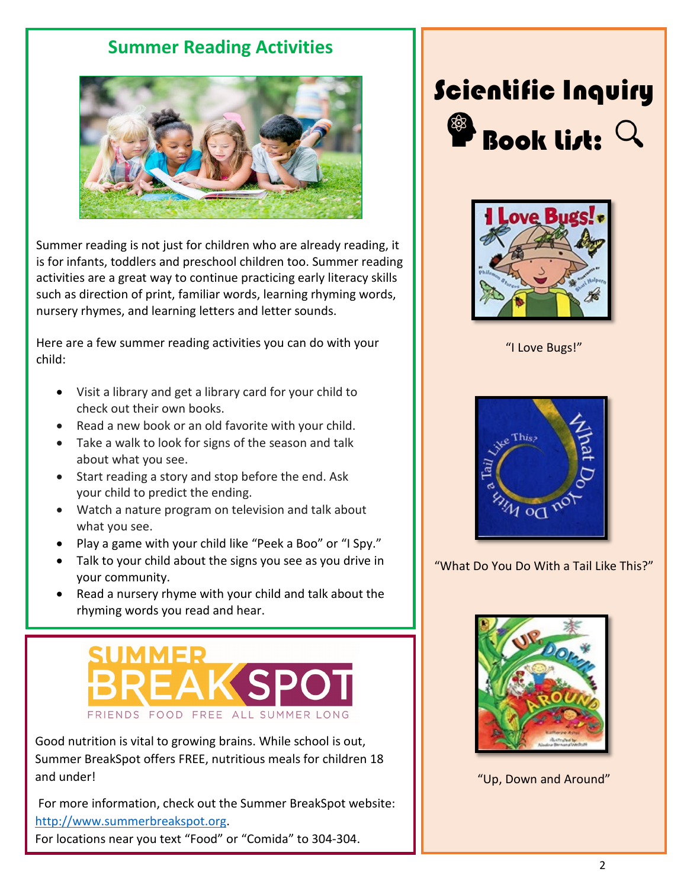## **Summer Reading Activities**



Summer reading is not just for children who are already reading, it is for infants, toddlers and preschool children too. Summer reading activities are a great way to continue practicing early literacy skills such as direction of print, familiar words, learning rhyming words, nursery rhymes, and learning letters and letter sounds.

Here are a few summer reading activities you can do with your child:

- Visit a library and get a library card for your child to check out their own books.
- Read a new book or an old favorite with your child.
- Take a walk to look for signs of the season and talk about what you see.
- Start reading a story and stop before the end. Ask your child to predict the ending.
- Watch a nature program on television and talk about what you see.
- Play a game with your child like "Peek a Boo" or "I Spy."
- Talk to your child about the signs you see as you drive in your community.
- Read a nursery rhyme with your child and talk about the rhyming words you read and hear.

# FRIENDS FOOD FREE ALL SUMMER LONG

Good nutrition is vital to growing brains. While school is out, Summer BreakSpot offers FREE, nutritious meals for children 18 and under!

For more information, check out the Summer BreakSpot website: [http://www.summerbreakspot.org.](http://www.summerbreakspot.org/)

For locations near you text "Food" or "Comida" to 304-304.

# Scientific Inquiry Book list:



"I Love Bugs!"



"What Do You Do With a Tail Like This?"



"Up, Down and Around"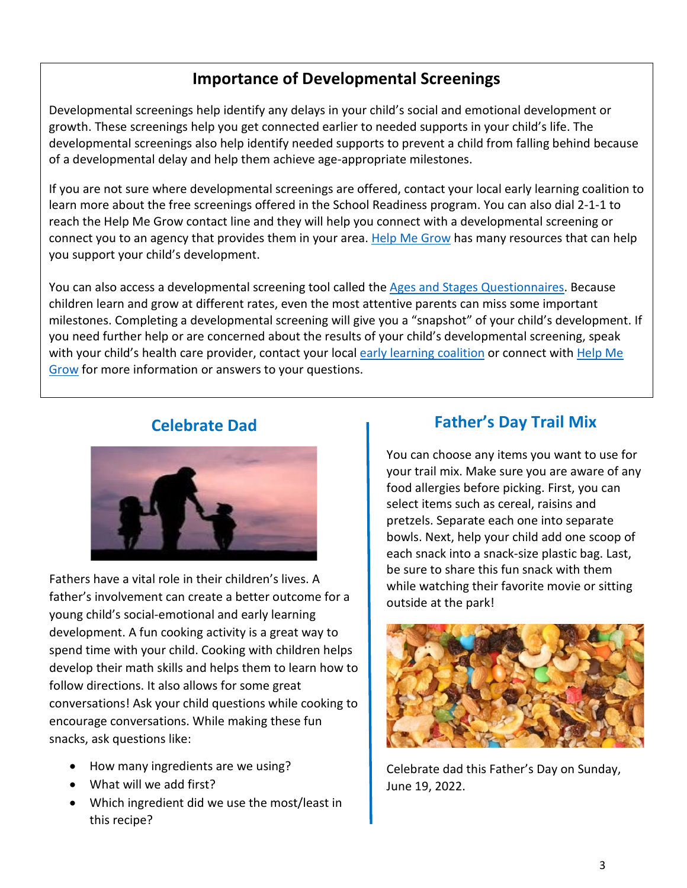## **Importance of Developmental Screenings**

Developmental screenings help identify any delays in your child's social and emotional development or growth. These screenings help you get connected earlier to needed supports in your child's life. The developmental screenings also help identify needed supports to prevent a child from falling behind because of a developmental delay and help them achieve age-appropriate milestones.

If you are not sure where developmental screenings are offered, contact your local early learning coalition to learn more about the free screenings offered in the School Readiness program. You can also dial 2-1-1 to reach the Help Me Grow contact line and they will help you connect with a developmental screening or connect you to an agency that provides them in your area. [Help Me Grow](https://www.helpmegrowfl.org/learn-the-signs-act-early/) has many resources that can help you support your child's development.

You can also access a developmental screening tool called the [Ages and Stages Questionnaires.](https://www.easterseals.com/mtffc/asq/) Because children learn and grow at different rates, even the most attentive parents can miss some important milestones. Completing a developmental screening will give you a "snapshot" of your child's development. If you need further help or are concerned about the results of your child's developmental screening, speak with your child's health care provider, contact your loca[l early learning coalition](http://www.floridaearlylearning.com/parents/coalitions) or connect with Help Me [Grow](https://www.helpmegrowfl.org/developmental-monitoring-screening/) for more information or answers to your questions.

#### **Celebrate Dad**



Fathers have a vital role in their children's lives. A father's involvement can create a better outcome for a young child's social-emotional and early learning development. A fun cooking activity is a great way to spend time with your child. Cooking with children helps develop their math skills and helps them to learn how to follow directions. It also allows for some great conversations! Ask your child questions while cooking to encourage conversations. While making these fun snacks, ask questions like:

- How many ingredients are we using?
- What will we add first?
- Which ingredient did we use the most/least in this recipe?

### **Father's Day Trail Mix**

You can choose any items you want to use for your trail mix. Make sure you are aware of any food allergies before picking. First, you can select items such as cereal, raisins and pretzels. Separate each one into separate bowls. Next, help your child add one scoop of each snack into a snack-size plastic bag. Last, be sure to share this fun snack with them while watching their favorite movie or sitting outside at the park!



Celebrate dad this Father's Day on Sunday, June 19, 2022.